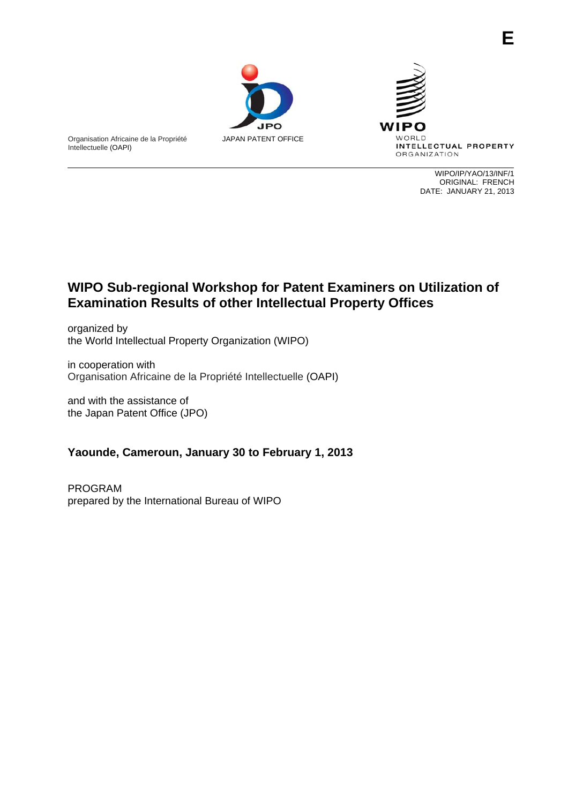



WIPO/IP/YAO/13/INF/1 ORIGINAL: FRENCH DATE: JANUARY 21, 2013

## **WIPO Sub-regional Workshop for Patent Examiners on Utilization of Examination Results of other Intellectual Property Offices**

organized by the World Intellectual Property Organization (WIPO)

in cooperation with Organisation Africaine de la Propriété Intellectuelle (OAPI)

and with the assistance of the Japan Patent Office (JPO)

Organisation Africaine de la Propriété

Intellectuelle (OAPI)

## **Yaounde, Cameroun, January 30 to February 1, 2013**

PROGRAM prepared by the International Bureau of WIPO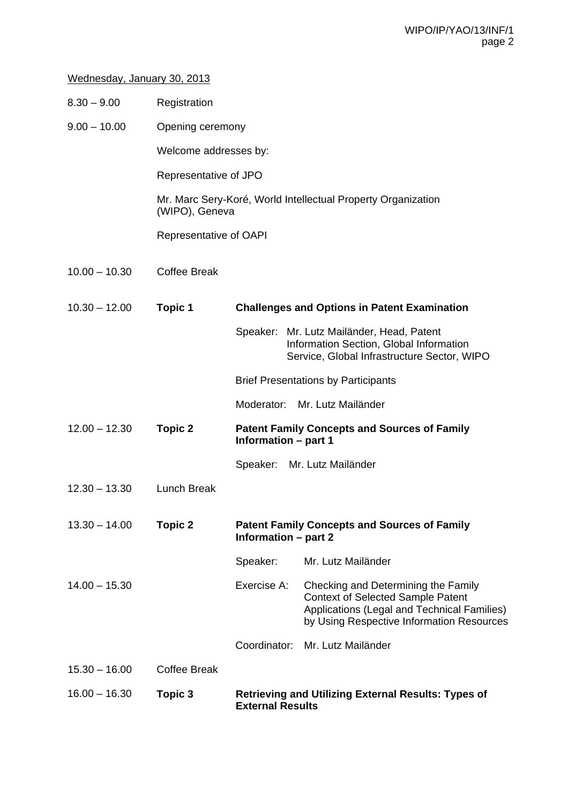## Wednesday, January 30, 2013

| $8.30 - 9.00$   | Registration           |                                                                                       |                                                                                                                                                                             |  |  |
|-----------------|------------------------|---------------------------------------------------------------------------------------|-----------------------------------------------------------------------------------------------------------------------------------------------------------------------------|--|--|
| $9.00 - 10.00$  | Opening ceremony       |                                                                                       |                                                                                                                                                                             |  |  |
|                 | Welcome addresses by:  |                                                                                       |                                                                                                                                                                             |  |  |
|                 | Representative of JPO  |                                                                                       |                                                                                                                                                                             |  |  |
|                 | (WIPO), Geneva         | Mr. Marc Sery-Koré, World Intellectual Property Organization                          |                                                                                                                                                                             |  |  |
|                 | Representative of OAPI |                                                                                       |                                                                                                                                                                             |  |  |
| $10.00 - 10.30$ | <b>Coffee Break</b>    |                                                                                       |                                                                                                                                                                             |  |  |
| $10.30 - 12.00$ | <b>Topic 1</b>         | <b>Challenges and Options in Patent Examination</b>                                   |                                                                                                                                                                             |  |  |
|                 |                        |                                                                                       | Speaker: Mr. Lutz Mailänder, Head, Patent<br>Information Section, Global Information<br>Service, Global Infrastructure Sector, WIPO                                         |  |  |
|                 |                        | <b>Brief Presentations by Participants</b>                                            |                                                                                                                                                                             |  |  |
|                 |                        |                                                                                       | Moderator: Mr. Lutz Mailänder                                                                                                                                               |  |  |
| $12.00 - 12.30$ | <b>Topic 2</b>         | <b>Patent Family Concepts and Sources of Family</b><br>Information - part 1           |                                                                                                                                                                             |  |  |
|                 |                        |                                                                                       | Speaker: Mr. Lutz Mailänder                                                                                                                                                 |  |  |
| $12.30 - 13.30$ | <b>Lunch Break</b>     |                                                                                       |                                                                                                                                                                             |  |  |
| $13.30 - 14.00$ | <b>Topic 2</b>         | <b>Patent Family Concepts and Sources of Family</b><br><b>Information - part 2</b>    |                                                                                                                                                                             |  |  |
|                 |                        | Speaker:                                                                              | Mr. Lutz Mailänder                                                                                                                                                          |  |  |
| $14.00 - 15.30$ |                        | Exercise A:                                                                           | Checking and Determining the Family<br><b>Context of Selected Sample Patent</b><br>Applications (Legal and Technical Families)<br>by Using Respective Information Resources |  |  |
|                 |                        | Coordinator:                                                                          | Mr. Lutz Mailänder                                                                                                                                                          |  |  |
| $15.30 - 16.00$ | <b>Coffee Break</b>    |                                                                                       |                                                                                                                                                                             |  |  |
| $16.00 - 16.30$ | Topic 3                | <b>Retrieving and Utilizing External Results: Types of</b><br><b>External Results</b> |                                                                                                                                                                             |  |  |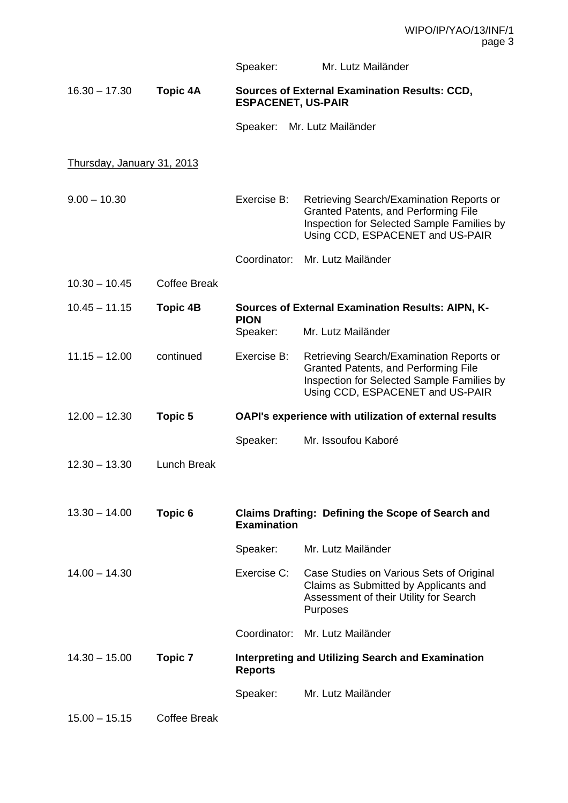|                                   |                     | Speaker:                                                                          | Mr. Lutz Mailänder                                                                                                                                                 |  |
|-----------------------------------|---------------------|-----------------------------------------------------------------------------------|--------------------------------------------------------------------------------------------------------------------------------------------------------------------|--|
| $16.30 - 17.30$                   | <b>Topic 4A</b>     | <b>Sources of External Examination Results: CCD,</b><br><b>ESPACENET, US-PAIR</b> |                                                                                                                                                                    |  |
|                                   |                     | Speaker:                                                                          | Mr. Lutz Mailänder                                                                                                                                                 |  |
| <u>Thursday, January 31, 2013</u> |                     |                                                                                   |                                                                                                                                                                    |  |
| $9.00 - 10.30$                    |                     | Exercise B:                                                                       | Retrieving Search/Examination Reports or<br>Granted Patents, and Performing File<br>Inspection for Selected Sample Families by<br>Using CCD, ESPACENET and US-PAIR |  |
|                                   |                     | Coordinator:                                                                      | Mr. Lutz Mailänder                                                                                                                                                 |  |
| $10.30 - 10.45$                   | <b>Coffee Break</b> |                                                                                   |                                                                                                                                                                    |  |
| $10.45 - 11.15$                   | <b>Topic 4B</b>     | <b>Sources of External Examination Results: AIPN, K-</b><br><b>PION</b>           |                                                                                                                                                                    |  |
|                                   |                     | Speaker:                                                                          | Mr. Lutz Mailänder                                                                                                                                                 |  |
| $11.15 - 12.00$                   | continued           | Exercise B:                                                                       | Retrieving Search/Examination Reports or<br>Granted Patents, and Performing File<br>Inspection for Selected Sample Families by<br>Using CCD, ESPACENET and US-PAIR |  |
| $12.00 - 12.30$                   | <b>Topic 5</b>      | OAPI's experience with utilization of external results                            |                                                                                                                                                                    |  |
|                                   |                     | Speaker:                                                                          | Mr. Issoufou Kaboré                                                                                                                                                |  |
| $12.30 - 13.30$                   | <b>Lunch Break</b>  |                                                                                   |                                                                                                                                                                    |  |
| $13.30 - 14.00$                   | Topic 6             | <b>Claims Drafting: Defining the Scope of Search and</b><br><b>Examination</b>    |                                                                                                                                                                    |  |
|                                   |                     | Speaker:                                                                          | Mr. Lutz Mailänder                                                                                                                                                 |  |
| $14.00 - 14.30$                   |                     | Exercise C:                                                                       | Case Studies on Various Sets of Original<br>Claims as Submitted by Applicants and<br>Assessment of their Utility for Search<br>Purposes                            |  |
|                                   |                     |                                                                                   | Coordinator: Mr. Lutz Mailänder                                                                                                                                    |  |
| $14.30 - 15.00$                   | Topic 7             | <b>Interpreting and Utilizing Search and Examination</b><br><b>Reports</b>        |                                                                                                                                                                    |  |
|                                   |                     | Speaker:                                                                          | Mr. Lutz Mailänder                                                                                                                                                 |  |
| $15.00 - 15.15$                   | <b>Coffee Break</b> |                                                                                   |                                                                                                                                                                    |  |